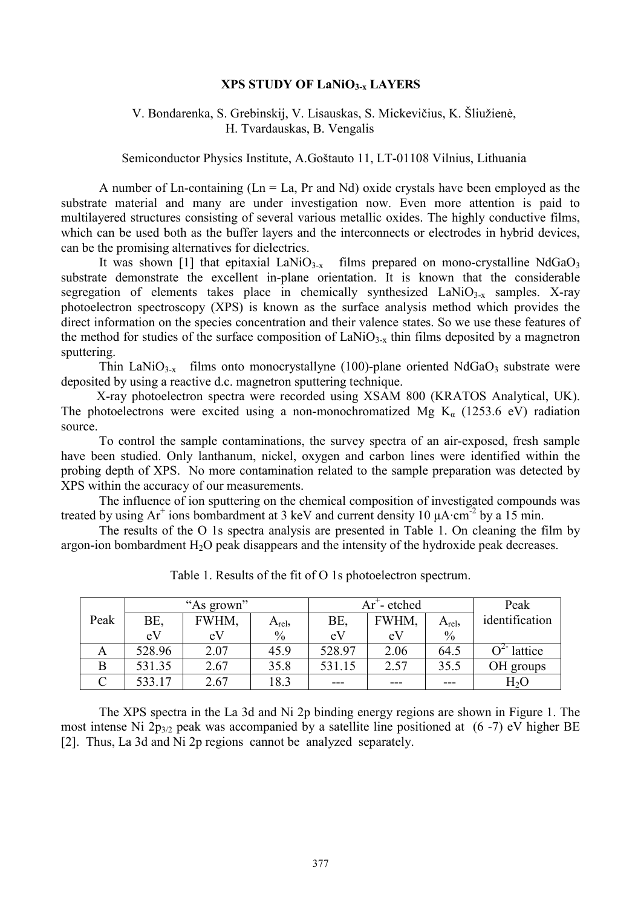## **XPS STUDY OF LaNiO3-x LAYERS**

## V. Bondarenka, S. Grebinskij, V. Lisauskas, S. Mickevičius, K. Šliužienė, H. Tvardauskas, B. Vengalis

Semiconductor Physics Institute, A.Goštauto 11, LT-01108 Vilnius, Lithuania

A number of Ln-containing ( $Ln = La$ , Pr and Nd) oxide crystals have been employed as the substrate material and many are under investigation now. Even more attention is paid to multilayered structures consisting of several various metallic oxides. The highly conductive films, which can be used both as the buffer layers and the interconnects or electrodes in hybrid devices, can be the promising alternatives for dielectrics.

It was shown [1] that epitaxial LaNi $O_{3-x}$  films prepared on mono-crystalline NdGa $O_3$ substrate demonstrate the excellent in-plane orientation. It is known that the considerable segregation of elements takes place in chemically synthesized  $\text{LaNiO}_{3-x}$  samples. X-ray photoelectron spectroscopy (XPS) is known as the surface analysis method which provides the direct information on the species concentration and their valence states. So we use these features of the method for studies of the surface composition of  $LaNiO<sub>3-x</sub>$  thin films deposited by a magnetron sputtering.

Thin LaNi $O_{3-x}$  films onto monocrystallyne (100)-plane oriented NdGa $O_3$  substrate were deposited by using a reactive d.c. magnetron sputtering technique.

X-ray photoelectron spectra were recorded using XSAM 800 (KRATOS Analytical, UK). The photoelectrons were excited using a non-monochromatized Mg  $K_{\alpha}$  (1253.6 eV) radiation source.

To control the sample contaminations, the survey spectra of an air-exposed, fresh sample have been studied. Only lanthanum, nickel, oxygen and carbon lines were identified within the probing depth of XPS. No more contamination related to the sample preparation was detected by XPS within the accuracy of our measurements.

The influence of ion sputtering on the chemical composition of investigated compounds was treated by using  $Ar^+$  ions bombardment at 3 keV and current density 10  $\mu A \cdot cm^{-2}$  by a 15 min.

The results of the O 1s spectra analysis are presented in Table 1. On cleaning the film by argon-ion bombardment  $H_2O$  peak disappears and the intensity of the hydroxide peak decreases.

|      | "As grown" |       |               | <sup>+</sup> - etched<br>$Ar^{\dagger}$ |       |               | Peak           |
|------|------------|-------|---------------|-----------------------------------------|-------|---------------|----------------|
| Peak | BE.        | FWHM, | $A_{rel}$     | BE,                                     | FWHM, | $A_{rel}$     | identification |
|      | eV         | eV    | $\frac{0}{0}$ | eV                                      | eV    | $\frac{0}{0}$ |                |
| A    | 528.96     | 2.07  | 45.9          | 528.97                                  | 2.06  | 64.5          | $0^2$ lattice  |
| B    | 531.35     | 2.67  | 35.8          | 531.15                                  | 2.57  | 35.5          | OH groups      |
|      | 533.17     | 2.67  | 18.3          | $---$                                   | ---   | ---           | $H_2O$         |

Table 1. Results of the fit of O 1s photoelectron spectrum.

The XPS spectra in the La 3d and Ni 2p binding energy regions are shown in Figure 1. The most intense Ni  $2p_{3/2}$  peak was accompanied by a satellite line positioned at (6-7) eV higher BE [2]. Thus, La 3d and Ni 2p regions cannot be analyzed separately.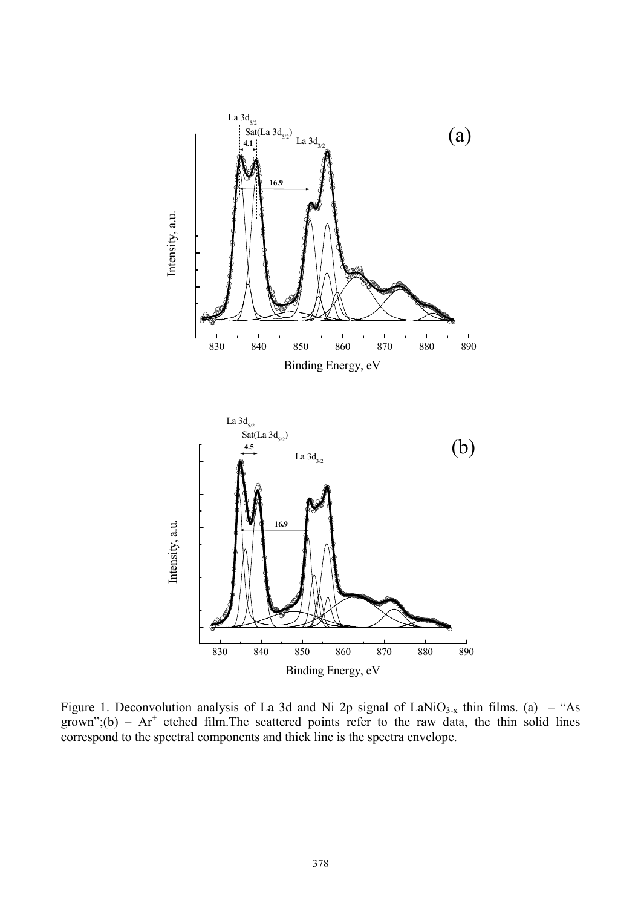

Figure 1. Deconvolution analysis of La 3d and Ni 2p signal of LaNiO<sub>3-x</sub> thin films. (a) – "As grown";(b) –  $Ar^+$  etched film. The scattered points refer to the raw data, the thin solid lines correspond to the spectral components and thick line is the spectra envelope.